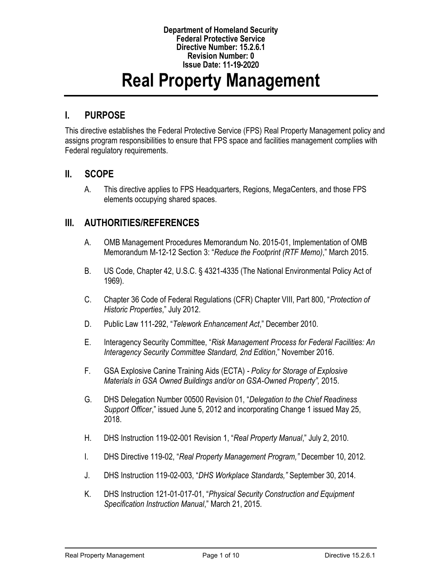#### **Department of Homeland Security Federal Protective Service Directive Number: 15.2.6.1 Revision Number: 0 Issue Date:** 11**-**19**-**2020

# **Real Property Management**

### **I. PURPOSE**

This directive establishes the Federal Protective Service (FPS) Real Property Management policy and assigns program responsibilities to ensure that FPS space and facilities management complies with Federal regulatory requirements.

#### **II. SCOPE**

A. This directive applies to FPS Headquarters, Regions, MegaCenters, and those FPS elements occupying shared spaces.

## **III. AUTHORITIES/REFERENCES**

- A. OMB Management Procedures Memorandum No. 2015-01, Implementation of OMB Memorandum M-12-12 Section 3: "*Reduce the Footprint (RTF Memo)*," March 2015.
- B. US Code, Chapter 42, U.S.C. § 4321-4335 (The National Environmental Policy Act of 1969).
- C. Chapter 36 Code of Federal Regulations (CFR) Chapter VIII, Part 800, "*Protection of Historic Properties*," July 2012.
- D. Public Law 111-292, "*Telework Enhancement Act*," December 2010.
- E. Interagency Security Committee, "*Risk Management Process for Federal Facilities: An Interagency Security Committee Standard, 2nd Edition*," November 2016.
- F. GSA Explosive Canine Training Aids (ECTA) *- Policy for Storage of Explosive Materials in GSA Owned Buildings and/or on GSA-Owned Property",* 2015.
- G. DHS Delegation Number 00500 Revision 01, "*Delegation to the Chief Readiness Support Officer*," issued June 5, 2012 and incorporating Change 1 issued May 25, 2018.
- H. DHS Instruction 119-02-001 Revision 1, "*Real Property Manual*," July 2, 2010.
- I. DHS Directive 119-02, "*Real Property Management Program,"* December 10, 2012.
- J. DHS Instruction 119-02-003, "*DHS Workplace Standards,"* September 30, 2014.
- K. DHS Instruction 121-01-017-01, "*Physical Security Construction and Equipment Specification Instruction Manual*," March 21, 2015.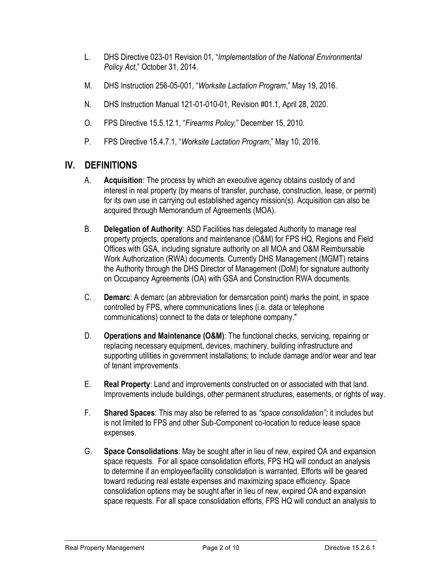- L. DHS Directive 023-01 Revision 01, "*Implementation of the National Environmental Policy Act*," October 31, 2014.
- M. DHS Instruction 256-05-001, "*Worksite Lactation Program*," May 19, 2016.
- N. DHS Instruction Manual 121-01-010-01, Revision #01.1, April 28, 2020.
- O. FPS Directive 15.5.12.1, "*Firearms Policy,*" December 15, 2010.
- P. FPS Directive 15.4.7.1, "*Worksite Lactation Program*," May 10, 2016.

## **IV. DEFINITIONS**

- A. **Acquisition**: The process by which an executive agency obtains custody of and interest in real property (by means of transfer, purchase, construction, lease, or permit) for its own use in carrying out established agency mission(s). Acquisition can also be acquired through Memorandum of Agreements (MOA).
- B. **Delegation of Authority**: ASD Facilities has delegated Authority to manage real property projects, operations and maintenance (O&M) for FPS HQ, Regions and Field Offices with GSA, including signature authority on all MOA and O&M Reimbursable Work Authorization (RWA) documents. Currently DHS Management (MGMT) retains the Authority through the DHS Director of Management (DoM) for signature authority on Occupancy Agreements (OA) with GSA and Construction RWA documents.
- C. **Demarc**: A demarc (an abbreviation for demarcation point) marks the point, in space controlled by FPS, where communications lines (i.e. data or telephone communications) connect to the data or telephone company."
- D. **Operations and Maintenance (O&M)**: The functional checks, servicing, repairing or replacing necessary equipment, devices, machinery, building infrastructure and supporting utilities in government installations; to include damage and/or wear and tear of tenant improvements.
- E. **Real Property**: Land and improvements constructed on or associated with that land. Improvements include buildings, other permanent structures, easements, or rights of way.
- F. **Shared Spaces**: This may also be referred to as *"space consolidation";* it includes but is not limited to FPS and other Sub-Component co-location to reduce lease space expenses.
- G. **Space Consolidations**: May be sought after in lieu of new, expired OA and expansion space requests. For all space consolidation efforts, FPS HQ will conduct an analysis to determine if an employee/facility consolidation is warranted. Efforts will be geared toward reducing real estate expenses and maximizing space efficiency. Space consolidation options may be sought after in lieu of new, expired OA and expansion space requests. For all space consolidation efforts, FPS HQ will conduct an analysis to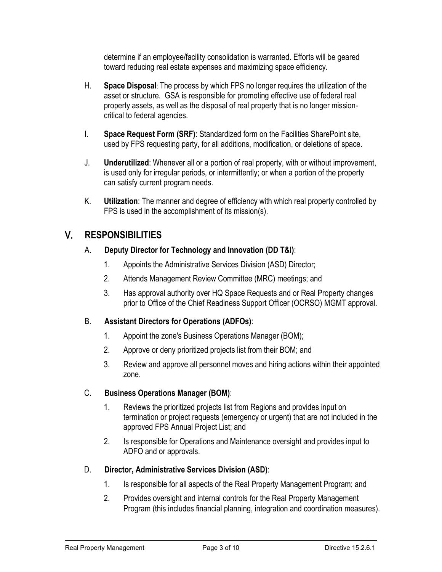determine if an employee/facility consolidation is warranted. Efforts will be geared toward reducing real estate expenses and maximizing space efficiency.

- H. **Space Disposal**: The process by which FPS no longer requires the utilization of the asset or structure. GSA is responsible for promoting effective use of federal real property assets, as well as the disposal of real property that is no longer missioncritical to federal agencies.
- I. **Space Request Form (SRF)**: Standardized form on the Facilities SharePoint site, used by FPS requesting party, for all additions, modification, or deletions of space.
- J. **Underutilized**: Whenever all or a portion of real property, with or without improvement, is used only for irregular periods, or intermittently; or when a portion of the property can satisfy current program needs.
- K. **Utilization**: The manner and degree of efficiency with which real property controlled by FPS is used in the accomplishment of its mission(s).

# V. **RESPONSIBILITIES**

- A. **Deputy Director for Technology and Innovation (DD T&I)**:
	- 1. Appoints the Administrative Services Division (ASD) Director;
	- 2. Attends Management Review Committee (MRC) meetings; and
	- 3. Has approval authority over HQ Space Requests and or Real Property changes prior to Office of the Chief Readiness Support Officer (OCRSO) MGMT approval.

#### B. **Assistant Directors for Operations (ADFOs)**:

- 1. Appoint the zone's Business Operations Manager (BOM);
- 2. Approve or deny prioritized projects list from their BOM; and
- 3. Review and approve all personnel moves and hiring actions within their appointed zone.

#### C. **Business Operations Manager (BOM)**:

- 1. Reviews the prioritized projects list from Regions and provides input on termination or project requests (emergency or urgent) that are not included in the approved FPS Annual Project List; and
- 2. Is responsible for Operations and Maintenance oversight and provides input to ADFO and or approvals.

#### D. **Director, Administrative Services Division (ASD)**:

- 1. Is responsible for all aspects of the Real Property Management Program; and
- 2. Provides oversight and internal controls for the Real Property Management Program (this includes financial planning, integration and coordination measures).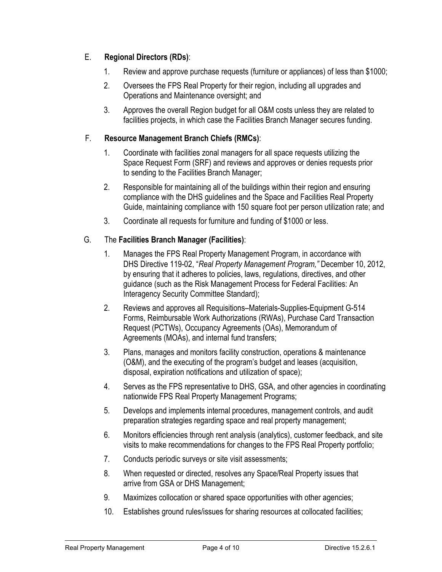#### E. **Regional Directors (RDs)**:

- 1. Review and approve purchase requests (furniture or appliances) of less than \$1000;
- 2. Oversees the FPS Real Property for their region, including all upgrades and Operations and Maintenance oversight; and
- 3. Approves the overall Region budget for all O&M costs unless they are related to facilities projects, in which case the Facilities Branch Manager secures funding.

#### F. **Resource Management Branch Chiefs (RMCs)**:

- 1. Coordinate with facilities zonal managers for all space requests utilizing the Space Request Form (SRF) and reviews and approves or denies requests prior to sending to the Facilities Branch Manager;
- 2. Responsible for maintaining all of the buildings within their region and ensuring compliance with the DHS guidelines and the Space and Facilities Real Property Guide, maintaining compliance with 150 square foot per person utilization rate; and
- 3. Coordinate all requests for furniture and funding of \$1000 or less.

#### G. The **Facilities Branch Manager (Facilities)**:

- 1. Manages the FPS Real Property Management Program, in accordance with DHS Directive 119-02, "*Real Property Management Program,"* December 10, 2012, by ensuring that it adheres to policies, laws, regulations, directives, and other guidance (such as the Risk Management Process for Federal Facilities: An Interagency Security Committee Standard);
- 2. Reviews and approves all Requisitions–Materials-Supplies-Equipment G-514 Forms, Reimbursable Work Authorizations (RWAs), Purchase Card Transaction Request (PCTWs), Occupancy Agreements (OAs), Memorandum of Agreements (MOAs), and internal fund transfers;
- 3. Plans, manages and monitors facility construction, operations & maintenance (O&M), and the executing of the program's budget and leases (acquisition, disposal, expiration notifications and utilization of space);
- 4. Serves as the FPS representative to DHS, GSA, and other agencies in coordinating nationwide FPS Real Property Management Programs;
- 5. Develops and implements internal procedures, management controls, and audit preparation strategies regarding space and real property management;
- 6. Monitors efficiencies through rent analysis (analytics), customer feedback, and site visits to make recommendations for changes to the FPS Real Property portfolio;
- 7. Conducts periodic surveys or site visit assessments;
- 8. When requested or directed, resolves any Space/Real Property issues that arrive from GSA or DHS Management;
- 9. Maximizes collocation or shared space opportunities with other agencies;
- 10. Establishes ground rules/issues for sharing resources at collocated facilities;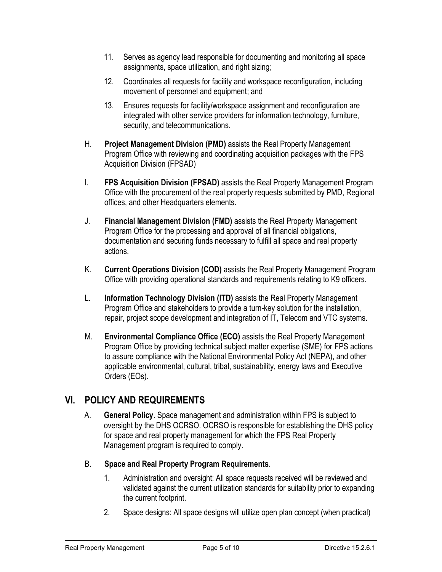- 11. Serves as agency lead responsible for documenting and monitoring all space assignments, space utilization, and right sizing;
- 12. Coordinates all requests for facility and workspace reconfiguration, including movement of personnel and equipment; and
- 13. Ensures requests for facility/workspace assignment and reconfiguration are integrated with other service providers for information technology, furniture, security, and telecommunications.
- H. **Project Management Division (PMD)** assists the Real Property Management Program Office with reviewing and coordinating acquisition packages with the FPS Acquisition Division (FPSAD)
- I. **FPS Acquisition Division (FPSAD)** assists the Real Property Management Program Office with the procurement of the real property requests submitted by PMD, Regional offices, and other Headquarters elements.
- J. **Financial Management Division (FMD)** assists the Real Property Management Program Office for the processing and approval of all financial obligations, documentation and securing funds necessary to fulfill all space and real property actions.
- K. **Current Operations Division (COD)** assists the Real Property Management Program Office with providing operational standards and requirements relating to K9 officers.
- L. **Information Technology Division (ITD)** assists the Real Property Management Program Office and stakeholders to provide a turn-key solution for the installation, repair, project scope development and integration of IT, Telecom and VTC systems.
- M. **Environmental Compliance Office (ECO)** assists the Real Property Management Program Office by providing technical subject matter expertise (SME) for FPS actions to assure compliance with the National Environmental Policy Act (NEPA), and other applicable environmental, cultural, tribal, sustainability, energy laws and Executive Orders (EOs).

# **VI. POLICY AND REQUIREMENTS**

- A. **General Policy**. Space management and administration within FPS is subject to oversight by the DHS OCRSO. OCRSO is responsible for establishing the DHS policy for space and real property management for which the FPS Real Property Management program is required to comply.
- B. **Space and Real Property Program Requirements**.
	- 1. Administration and oversight: All space requests received will be reviewed and validated against the current utilization standards for suitability prior to expanding the current footprint.
	- 2. Space designs: All space designs will utilize open plan concept (when practical)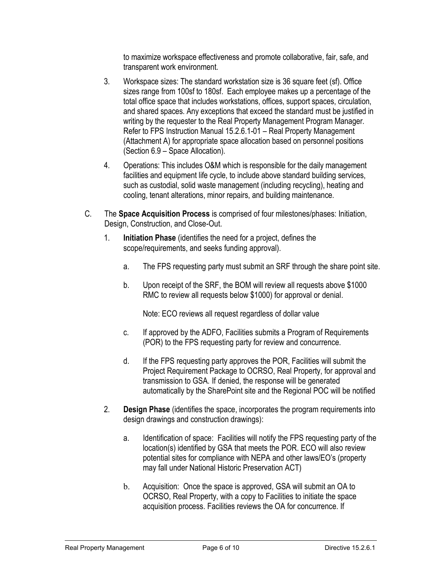to maximize workspace effectiveness and promote collaborative, fair, safe, and transparent work environment.

- 3. Workspace sizes: The standard workstation size is 36 square feet (sf). Office sizes range from 100sf to 180sf. Each employee makes up a percentage of the total office space that includes workstations, offices, support spaces, circulation, and shared spaces. Any exceptions that exceed the standard must be justified in writing by the requester to the Real Property Management Program Manager. Refer to FPS Instruction Manual 15.2.6.1-01 – Real Property Management (Attachment A) for appropriate space allocation based on personnel positions (Section 6.9 – Space Allocation).
- 4. Operations: This includes O&M which is responsible for the daily management facilities and equipment life cycle, to include above standard building services, such as custodial, solid waste management (including recycling), heating and cooling, tenant alterations, minor repairs, and building maintenance.
- C. The **Space Acquisition Process** is comprised of four milestones/phases: Initiation, Design, Construction, and Close-Out.
	- 1. **Initiation Phase** (identifies the need for a project, defines the scope/requirements, and seeks funding approval).
		- a. The FPS requesting party must submit an SRF through the share point site.
		- b. Upon receipt of the SRF, the BOM will review all requests above \$1000 RMC to review all requests below \$1000) for approval or denial.

Note: ECO reviews all request regardless of dollar value

- c. If approved by the ADFO, Facilities submits a Program of Requirements (POR) to the FPS requesting party for review and concurrence.
- d. If the FPS requesting party approves the POR, Facilities will submit the Project Requirement Package to OCRSO, Real Property, for approval and transmission to GSA. If denied, the response will be generated automatically by the SharePoint site and the Regional POC will be notified
- 2. **Design Phase** (identifies the space, incorporates the program requirements into design drawings and construction drawings):
	- a. Identification of space: Facilities will notify the FPS requesting party of the location(s) identified by GSA that meets the POR. ECO will also review potential sites for compliance with NEPA and other laws/EO's (property may fall under National Historic Preservation ACT)
	- b. Acquisition: Once the space is approved, GSA will submit an OA to OCRSO, Real Property, with a copy to Facilities to initiate the space acquisition process. Facilities reviews the OA for concurrence. If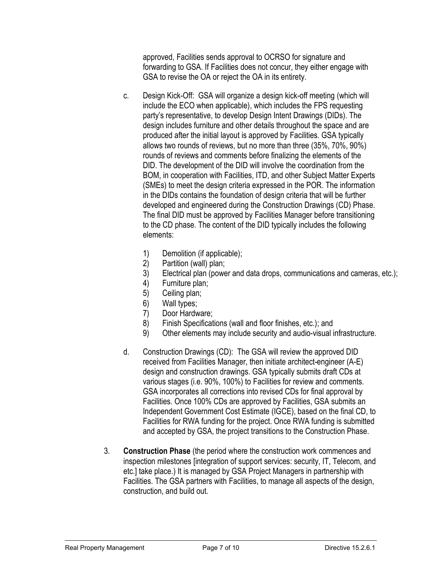approved, Facilities sends approval to OCRSO for signature and forwarding to GSA. If Facilities does not concur, they either engage with GSA to revise the OA or reject the OA in its entirety.

- c. Design Kick-Off: GSA will organize a design kick-off meeting (which will include the ECO when applicable), which includes the FPS requesting party's representative, to develop Design Intent Drawings (DIDs). The design includes furniture and other details throughout the space and are produced after the initial layout is approved by Facilities. GSA typically allows two rounds of reviews, but no more than three (35%, 70%, 90%) rounds of reviews and comments before finalizing the elements of the DID. The development of the DID will involve the coordination from the BOM, in cooperation with Facilities, ITD, and other Subject Matter Experts (SMEs) to meet the design criteria expressed in the POR. The information in the DIDs contains the foundation of design criteria that will be further developed and engineered during the Construction Drawings (CD) Phase. The final DID must be approved by Facilities Manager before transitioning to the CD phase. The content of the DID typically includes the following elements:
	- 1) Demolition (if applicable);
	- 2) Partition (wall) plan;
	- 3) Electrical plan (power and data drops, communications and cameras, etc.);
	- 4) Furniture plan;
	- 5) Ceiling plan;
	- 6) Wall types;
	- 7) Door Hardware;
	- 8) Finish Specifications (wall and floor finishes, etc.); and
	- 9) Other elements may include security and audio-visual infrastructure.
- d. Construction Drawings (CD): The GSA will review the approved DID received from Facilities Manager, then initiate architect-engineer (A-E) design and construction drawings. GSA typically submits draft CDs at various stages (i.e. 90%, 100%) to Facilities for review and comments. GSA incorporates all corrections into revised CDs for final approval by Facilities. Once 100% CDs are approved by Facilities, GSA submits an Independent Government Cost Estimate (IGCE), based on the final CD, to Facilities for RWA funding for the project. Once RWA funding is submitted and accepted by GSA, the project transitions to the Construction Phase.
- 3. **Construction Phase** (the period where the construction work commences and inspection milestones [integration of support services: security, IT, Telecom, and etc.] take place.) It is managed by GSA Project Managers in partnership with Facilities. The GSA partners with Facilities, to manage all aspects of the design, construction, and build out.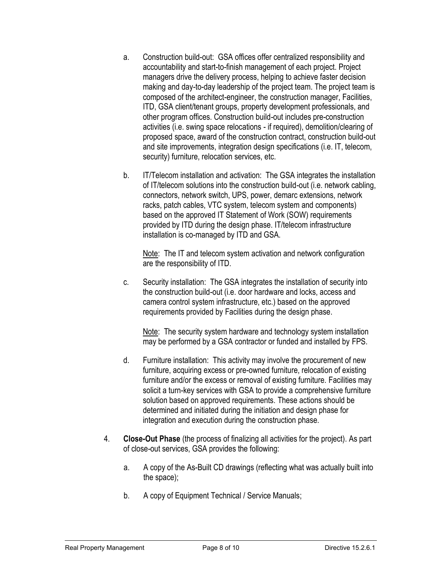- a. Construction build-out: GSA offices offer centralized responsibility and accountability and start-to-finish management of each project. Project managers drive the delivery process, helping to achieve faster decision making and day-to-day leadership of the project team. The project team is composed of the architect-engineer, the construction manager, Facilities, ITD, GSA client/tenant groups, property development professionals, and other program offices. Construction build-out includes pre-construction activities (i.e. swing space relocations - if required), demolition/clearing of proposed space, award of the construction contract, construction build-out and site improvements, integration design specifications (i.e. IT, telecom, security) furniture, relocation services, etc.
- b. IT/Telecom installation and activation: The GSA integrates the installation of IT/telecom solutions into the construction build-out (i.e. network cabling, connectors, network switch, UPS, power, demarc extensions, network racks, patch cables, VTC system, telecom system and components) based on the approved IT Statement of Work (SOW) requirements provided by ITD during the design phase. IT/telecom infrastructure installation is co-managed by ITD and GSA.

Note: The IT and telecom system activation and network configuration are the responsibility of ITD.

c. Security installation: The GSA integrates the installation of security into the construction build-out (i.e. door hardware and locks, access and camera control system infrastructure, etc.) based on the approved requirements provided by Facilities during the design phase.

Note: The security system hardware and technology system installation may be performed by a GSA contractor or funded and installed by FPS.

- d. Furniture installation: This activity may involve the procurement of new furniture, acquiring excess or pre-owned furniture, relocation of existing furniture and/or the excess or removal of existing furniture. Facilities may solicit a turn-key services with GSA to provide a comprehensive furniture solution based on approved requirements. These actions should be determined and initiated during the initiation and design phase for integration and execution during the construction phase.
- 4. **Close-Out Phase** (the process of finalizing all activities for the project). As part of close-out services, GSA provides the following:
	- a. A copy of the As-Built CD drawings (reflecting what was actually built into the space);
	- b. A copy of Equipment Technical / Service Manuals;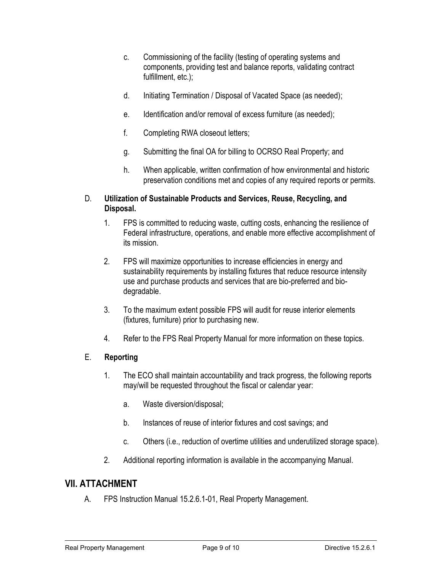- c. Commissioning of the facility (testing of operating systems and components, providing test and balance reports, validating contract fulfillment, etc.);
- d. Initiating Termination / Disposal of Vacated Space (as needed);
- e. Identification and/or removal of excess furniture (as needed);
- f. Completing RWA closeout letters;
- g. Submitting the final OA for billing to OCRSO Real Property; and
- h. When applicable, written confirmation of how environmental and historic preservation conditions met and copies of any required reports or permits.

#### D. **Utilization of Sustainable Products and Services, Reuse, Recycling, and Disposal.**

- 1. FPS is committed to reducing waste, cutting costs, enhancing the resilience of Federal infrastructure, operations, and enable more effective accomplishment of its mission.
- 2. FPS will maximize opportunities to increase efficiencies in energy and sustainability requirements by installing fixtures that reduce resource intensity use and purchase products and services that are bio-preferred and biodegradable.
- 3. To the maximum extent possible FPS will audit for reuse interior elements (fixtures, furniture) prior to purchasing new.
- 4. Refer to the FPS Real Property Manual for more information on these topics.

#### E. **Reporting**

- 1. The ECO shall maintain accountability and track progress, the following reports may/will be requested throughout the fiscal or calendar year:
	- a. Waste diversion/disposal;
	- b. Instances of reuse of interior fixtures and cost savings; and
	- c. Others (i.e., reduction of overtime utilities and underutilized storage space).
- 2. Additional reporting information is available in the accompanying Manual.

#### **VII. ATTACHMENT**

A. FPS Instruction Manual 15.2.6.1-01, Real Property Management.